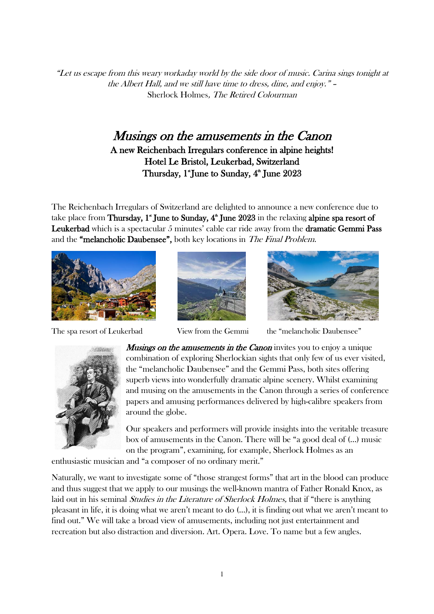"Let us escape from this weary workaday world by the side door of music. Carina sings tonight at the Albert Hall, and we still have time to dress, dine, and enjoy." – Sherlock Holmes, The Retired Colourman

# Musings on the amusements in the Canon A new Reichenbach Irregulars conference in alpine heights! Hotel Le Bristol, Leukerbad, Switzerland Thursday, 1\*June to Sunday, 4<sup>th</sup> June 2023

The Reichenbach Irregulars of Switzerland are delighted to announce a new conference due to take place from **Thursday, 1" June to Sunday, 4" June 2023** in the relaxing **alpine spa resort of** Leukerbad which is a spectacular 5 minutes' cable car ride away from the dramatic Gemmi Pass and the "melancholic Daubensee", both key locations in The Final Problem.



The spa resort of Leukerbad View from the Gemmi the "melancholic Daubensee"







**Musings on the amusements in the Canon** invites you to enjoy a unique combination of exploring Sherlockian sights that only few of us ever visited, the "melancholic Daubensee" and the Gemmi Pass, both sites offering superb views into wonderfully dramatic alpine scenery. Whilst examining and musing on the amusements in the Canon through a series of conference papers and amusing performances delivered by high-calibre speakers from around the globe.

Our speakers and performers will provide insights into the veritable treasure box of amusements in the Canon. There will be "a good deal of (…) music on the program", examining, for example, Sherlock Holmes as an

enthusiastic musician and "a composer of no ordinary merit."

Naturally, we want to investigate some of "those strangest forms" that art in the blood can produce and thus suggest that we apply to our musings the well-known mantra of Father Ronald Knox, as laid out in his seminal *Studies in the Literature of Sherlock Holmes*, that if "there is anything pleasant in life, it is doing what we aren't meant to do (…), it is finding out what we aren't meant to find out." We will take a broad view of amusements, including not just entertainment and recreation but also distraction and diversion. Art. Opera. Love. To name but a few angles.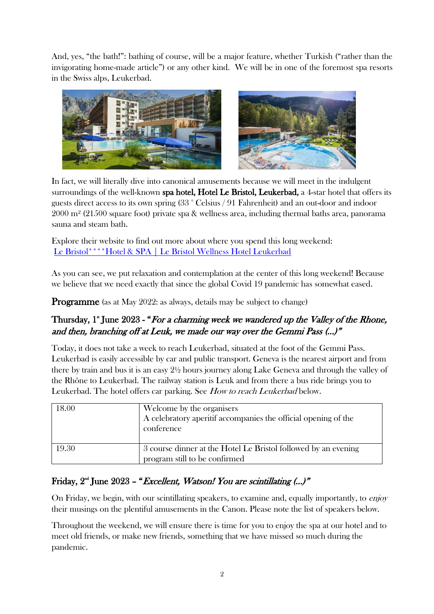And, yes, "the bath!": bathing of course, will be a major feature, whether Turkish ("rather than the invigorating home-made article") or any other kind. We will be in one of the foremost spa resorts in the Swiss alps, Leukerbad.



In fact, we will literally dive into canonical amusements because we will meet in the indulgent surroundings of the well-known spa hotel, Hotel Le Bristol, Leukerbad, a 4-star hotel that offers its guests direct access to its own spring (33 ° Celsius / 91 Fahrenheit) and an out-door and indoor  $2000 \text{ m}^2$  (21500 square foot) private spa & wellness area, including thermal baths area, panorama sauna and steam bath.

Explore their website to find out more about where you spend this long weekend: [Le Bristol\\*\\*\\*\\*Hotel & SPA | Le Bristol Wellness Hotel Leukerbad](https://www.lebristol.ch/en/)

As you can see, we put relaxation and contemplation at the center of this long weekend! Because we believe that we need exactly that since the global Covid 19 pandemic has somewhat eased.

**Programme** (as at May 2022: as always, details may be subject to change)

# Thursday, 1<sup>\*</sup> June 2023 - "For a charming week we wandered up the Valley of the Rhone, and then, branching off at Leuk, we made our way over the Gemmi Pass (…)"

Today, it does not take a week to reach Leukerbad, situated at the foot of the Gemmi Pass. Leukerbad is easily accessible by car and public transport. Geneva is the nearest airport and from there by train and bus it is an easy 2½ hours journey along Lake Geneva and through the valley of the Rhône to Leukerbad. The railway station is Leuk and from there a bus ride brings you to Leukerbad. The hotel offers car parking. See *How to reach Leukerbad* below.

| 18.00 | Welcome by the organisers<br>A celebratory aperitif accompanies the official opening of the<br>conference |
|-------|-----------------------------------------------------------------------------------------------------------|
| 19.30 | 3 course dinner at the Hotel Le Bristol followed by an evening<br>program still to be confirmed           |

# Friday,  $2<sup>nd</sup>$  June 2023 – "*Excellent, Watson! You are scintillating (...)*"

On Friday, we begin, with our scintillating speakers, to examine and, equally importantly, to enjoy their musings on the plentiful amusements in the Canon. Please note the list of speakers below.

Throughout the weekend, we will ensure there is time for you to enjoy the spa at our hotel and to meet old friends, or make new friends, something that we have missed so much during the pandemic.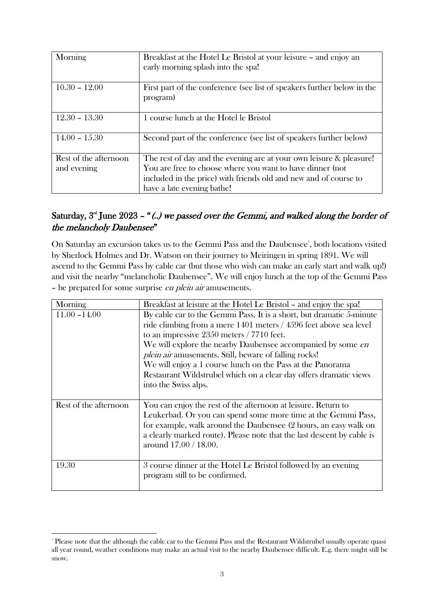| Morning               | Breakfast at the Hotel Le Bristol at your leisure - and enjoy an<br>early morning splash into the spa! |
|-----------------------|--------------------------------------------------------------------------------------------------------|
| $10.30 - 12.00$       | First part of the conference (see list of speakers further below in the<br>program)                    |
| $12.30 - 13.30$       | 1 course lunch at the Hotel le Bristol                                                                 |
| $14.00 - 15.30$       | Second part of the conference (see list of speakers further below)                                     |
| Rest of the afternoon | The rest of day and the evening are at your own leisure & pleasure!                                    |
| and evening           | You are free to choose where you want to have dinner (not                                              |
|                       | included in the price) with friends old and new and of course to                                       |
|                       | have a late evening bathe!                                                                             |

## Saturday,  $3<sup>rd</sup>$  June 2023 – "(..) we passed over the Gemmi, and walked along the border of the melancholy Daubensee"

On Saturday an excursion takes us to the Gemmi Pass and the Daubensee<sup>1</sup>, both locations visited by Sherlock Holmes and Dr. Watson on their journey to Meiringen in spring 1891. We will ascend to the Gemmi Pass by cable car (but those who wish can make an early start and walk up!) and visit the nearby "melancholic Daubensee". We will enjoy lunch at the top of the Gemmi Pass - be prepared for some surprise en plein air amusements.

| Morning               | Breakfast at leisure at the Hotel Le Bristol - and enjoy the spa!      |
|-----------------------|------------------------------------------------------------------------|
| $11.00 - 14.00$       | By cable car to the Gemmi Pass. It is a short, but dramatic 5-minute   |
|                       | ride climbing from a mere 1401 meters / 4596 feet above sea level      |
|                       | to an impressive $2350$ meters $/ 7710$ feet.                          |
|                       | We will explore the nearby Daubensee accompanied by some en            |
|                       | <i>plein air</i> amusements. Still, beware of falling rocks!           |
|                       | We will enjoy a 1 course lunch on the Pass at the Panorama             |
|                       | Restaurant Wildstrubel which on a clear day offers dramatic views      |
|                       | into the Swiss alps.                                                   |
|                       |                                                                        |
| Rest of the afternoon | You can enjoy the rest of the afternoon at leisure. Return to          |
|                       | Leukerbad. Or you can spend some more time at the Gemmi Pass,          |
|                       | for example, walk around the Daubensee (2 hours, an easy walk on       |
|                       | a clearly marked route). Please note that the last descent by cable is |
|                       | around 17.00 / 18.00.                                                  |
|                       |                                                                        |
| 19.30                 | 3 course dinner at the Hotel Le Bristol followed by an evening         |
|                       | program still to be confirmed.                                         |
|                       |                                                                        |

<sup>1</sup> Please note that the although the cable car to the Gemmi Pass and the Restaurant Wildstrubel usually operate quasi all year round, weather conditions may make an actual visit to the nearby Daubensee difficult. E.g. there might still be snow.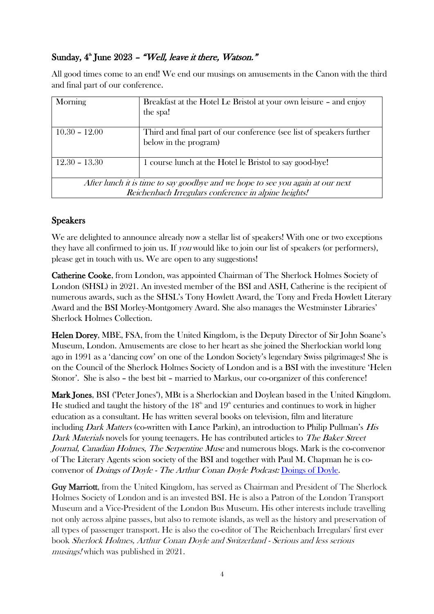## Sunday, 4<sup>th</sup> June 2023 - "Well, leave it there, Watson."

All good times come to an end! We end our musings on amusements in the Canon with the third and final part of our conference.

| Morning                                                                                                                                | Breakfast at the Hotel Le Bristol at your own leisure - and enjoy<br>the spa!                 |
|----------------------------------------------------------------------------------------------------------------------------------------|-----------------------------------------------------------------------------------------------|
| $10.30 - 12.00$                                                                                                                        | Third and final part of our conference (see list of speakers further<br>below in the program) |
| $12.30 - 13.30$                                                                                                                        | 1 course lunch at the Hotel le Bristol to say good-bye!                                       |
| After lunch it is time to say goodbye and we hope to see you again at our next<br>Reichenbach Irregulars conference in alpine heights! |                                                                                               |

## Speakers

We are delighted to announce already now a stellar list of speakers! With one or two exceptions they have all confirmed to join us. If *you* would like to join our list of speakers (or performers), please get in touch with us. We are open to any suggestions!

Catherine Cooke, from London, was appointed Chairman of The Sherlock Holmes Society of London (SHSL) in 2021. An invested member of the BSI and ASH, Catherine is the recipient of numerous awards, such as the SHSL's Tony Howlett Award, the Tony and Freda Howlett Literary Award and the BSI Morley-Montgomery Award. She also manages the Westminster Libraries' Sherlock Holmes Collection.

Helen Dorey, MBE, FSA, from the United Kingdom, is the Deputy Director of Sir John Soane's Museum, London. Amusements are close to her heart as she joined the Sherlockian world long ago in 1991 as a 'dancing cow' on one of the London Society's legendary Swiss pilgrimages! She is on the Council of the Sherlock Holmes Society of London and is a BSI with the investiture 'Helen Stonor'. She is also – the best bit – married to Markus, our co-organizer of this conference!

Mark Jones, BSI ("Peter Jones"), MBt is a Sherlockian and Doylean based in the United Kingdom. He studied and taught the history of the  $18<sup>th</sup>$  and  $19<sup>th</sup>$  centuries and continues to work in higher education as a consultant. He has written several books on television, film and literature including *Dark Matters* (co-written with Lance Parkin), an introduction to Philip Pullman's *His* Dark Materials novels for young teenagers. He has contributed articles to *The Baker Street* Journal, Canadian Holmes, The Serpentine Muse and numerous blogs. Mark is the co-convenor of The Literary Agents scion society of the BSI and together with Paul M. Chapman he is coconvenor of Doings of Doyle - The Arthur Conan Doyle Podcast: [Doings of Doyle.](https://www.doingsofdoyle.com/)

Guy Marriott, from the United Kingdom, has served as Chairman and President of The Sherlock Holmes Society of London and is an invested BSI. He is also a Patron of the London Transport Museum and a Vice-President of the London Bus Museum. His other interests include travelling not only across alpine passes, but also to remote islands, as well as the history and preservation of all types of passenger transport. He is also the co-editor of The Reichenbach Irregulars' first ever book Sherlock Holmes, Arthur Conan Doyle and Switzerland - Serious and less serious musings! which was published in 2021.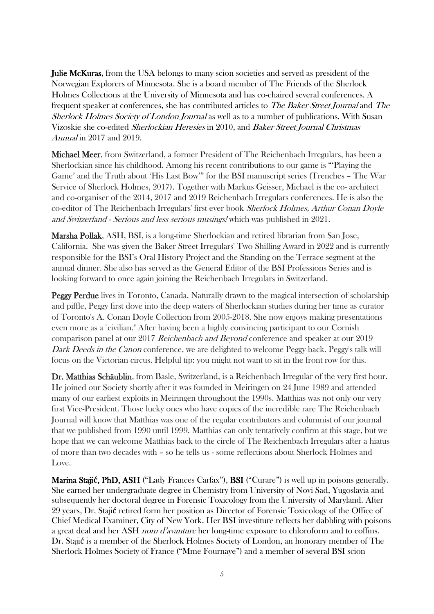**Julie McKuras**, from the USA belongs to many scion societies and served as president of the Norwegian Explorers of Minnesota. She is a board member of The Friends of the Sherlock Holmes Collections at the University of Minnesota and has co-chaired several conferences. A frequent speaker at conferences, she has contributed articles to The Baker Street Journal and The Sherlock Holmes Society of London Journal as well as to a number of publications. With Susan Vizoskie she co-edited Sherlockian Heresies in 2010, and Baker Street Journal Christmas Annual in 2017 and 2019.

Michael Meer, from Switzerland, a former President of The Reichenbach Irregulars, has been a Sherlockian since his childhood. Among his recent contributions to our game is "'Playing the Game' and the Truth about 'His Last Bow'" for the BSI manuscript series (Trenches – The War Service of Sherlock Holmes, 2017). Together with Markus Geisser, Michael is the co- architect and co-organiser of the 2014, 2017 and 2019 Reichenbach Irregulars conferences. He is also the co-editor of The Reichenbach Irregulars' first ever book Sherlock Holmes, Arthur Conan Doyle and Switzerland - Serious and less serious musings! which was published in 2021.

Marsha Pollak, ASH, BSI, is a long-time Sherlockian and retired librarian from San Jose, California. She was given the Baker Street Irregulars' Two Shilling Award in 2022 and is currently responsible for the BSI's Oral History Project and the Standing on the Terrace segment at the annual dinner. She also has served as the General Editor of the BSI Professions Series and is looking forward to once again joining the Reichenbach Irregulars in Switzerland.

Peggy Perdue lives in Toronto, Canada. Naturally drawn to the magical intersection of scholarship and piffle, Peggy first dove into the deep waters of Sherlockian studies during her time as curator of Toronto's A. Conan Doyle Collection from 2005-2018. She now enjoys making presentations even more as a "civilian." After having been a highly convincing participant to our Cornish comparison panel at our 2017 Reichenbach and Beyond conference and speaker at our 2019 Dark Deeds in the Canon conference, we are delighted to welcome Peggy back. Peggy's talk will focus on the Victorian circus. Helpful tip: you might not want to sit in the front row for this.

Dr. Matthias Schäublin, from Basle, Switzerland, is a Reichenbach Irregular of the very first hour. He joined our Society shortly after it was founded in Meiringen on 24 June 1989 and attended many of our earliest exploits in Meiringen throughout the 1990s. Matthias was not only our very first Vice-President. Those lucky ones who have copies of the incredible rare The Reichenbach Journal will know that Matthias was one of the regular contributors and columnist of our journal that we published from 1990 until 1999. Matthias can only tentatively confirm at this stage, but we hope that we can welcome Matthias back to the circle of The Reichenbach Irregulars after a hiatus of more than two decades with – so he tells us - some reflections about Sherlock Holmes and Love.

Marina Staji**ć**, PhD, ASH ("Lady Frances Carfax"), BSI ("Curare") is well up in poisons generally. She earned her undergraduate degree in Chemistry from University of Novi Sad, Yugoslavia and subsequently her doctoral degree in Forensic Toxicology from the University of Maryland. After 29 years, Dr. Stajić retired form her position as Director of Forensic Toxicology of the Office of Chief Medical Examiner, City of New York. Her BSI investiture reflects her dabbling with poisons a great deal and her ASH *nom d'avanture* her long-time exposure to chloroform and to coffins. Dr. Stajić is a member of the Sherlock Holmes Society of London, an honorary member of The Sherlock Holmes Society of France ("Mme Fournaye") and a member of several BSI scion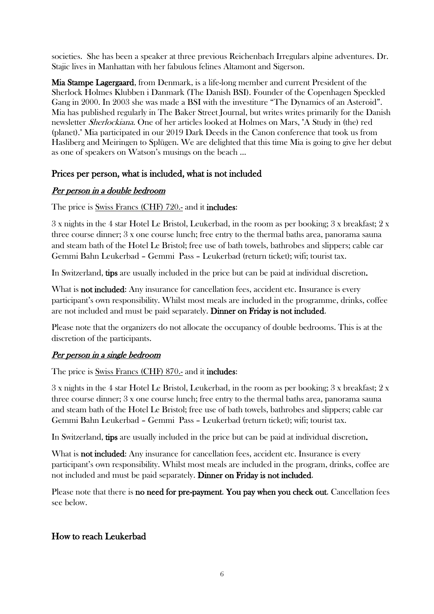societies. She has been a speaker at three previous Reichenbach Irregulars alpine adventures. Dr. Stajic lives in Manhattan with her fabulous felines Altamont and Sigerson.

Mia Stampe Lagergaard, from Denmark, is a life-long member and current President of the Sherlock Holmes Klubben i Danmark (The Danish BSI). Founder of the Copenhagen Speckled Gang in 2000. In 2003 she was made a BSI with the investiture "The Dynamics of an Asteroid". Mia has published regularly in The Baker Street Journal, but writes writes primarily for the Danish newsletter Sherlockiana. One of her articles looked at Holmes on Mars, "A Study in (the) red (planet)." Mia participated in our 2019 Dark Deeds in the Canon conference that took us from Hasliberg and Meiringen to Splügen. We are delighted that this time Mia is going to give her debut as one of speakers on Watson's musings on the beach …

#### Prices per person, what is included, what is not included

#### Per person in a double bedroom

The price is Swiss Francs (CHF) 720.- and it includes:

3 x nights in the 4 star Hotel Le Bristol, Leukerbad, in the room as per booking; 3 x breakfast; 2 x three course dinner; 3 x one course lunch; free entry to the thermal baths area, panorama sauna and steam bath of the Hotel Le Bristol; free use of bath towels, bathrobes and slippers; cable car Gemmi Bahn Leukerbad – Gemmi Pass – Leukerbad (return ticket); wifi; tourist tax.

In Switzerland, tips are usually included in the price but can be paid at individual discretion.

What is **not included:** Any insurance for cancellation fees, accident etc. Insurance is every participant's own responsibility. Whilst most meals are included in the programme, drinks, coffee are not included and must be paid separately. Dinner on Friday is not included.

Please note that the organizers do not allocate the occupancy of double bedrooms. This is at the discretion of the participants.

#### Per person in a single bedroom

The price is <u>Swiss Francs</u> (CHF) 870.- and it **includes**:

3 x nights in the 4 star Hotel Le Bristol, Leukerbad, in the room as per booking; 3 x breakfast; 2 x three course dinner; 3 x one course lunch; free entry to the thermal baths area, panorama sauna and steam bath of the Hotel Le Bristol; free use of bath towels, bathrobes and slippers; cable car Gemmi Bahn Leukerbad – Gemmi Pass – Leukerbad (return ticket); wifi; tourist tax.

In Switzerland, tips are usually included in the price but can be paid at individual discretion.

What is **not included:** Any insurance for cancellation fees, accident etc. Insurance is every participant's own responsibility. Whilst most meals are included in the program, drinks, coffee are not included and must be paid separately. Dinner on Friday is not included.

Please note that there is no need for pre-payment. You pay when you check out. Cancellation fees see below.

## How to reach Leukerbad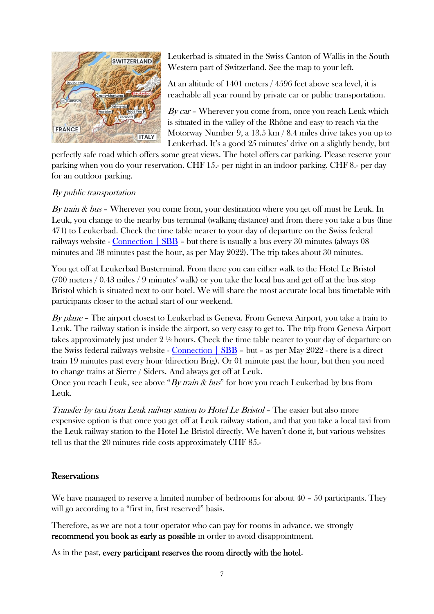

Leukerbad is situated in the Swiss Canton of Wallis in the South Western part of Switzerland. See the map to your left.

At an altitude of 1401 meters / 4596 feet above sea level, it is reachable all year round by private car or public transportation.

By car – Wherever you come from, once you reach Leuk which is situated in the valley of the Rhône and easy to reach via the Motorway Number 9, a 13.5 km / 8.4 miles drive takes you up to Leukerbad. It's a good 25 minutes' drive on a slightly bendy, but

perfectly safe road which offers some great views. The hotel offers car parking. Please reserve your parking when you do your reservation. CHF 15.- per night in an indoor parking. CHF 8.- per day for an outdoor parking.

#### By public transportation

By train & bus – Wherever you come from, your destination where you get off must be Leuk. In Leuk, you change to the nearby bus terminal (walking distance) and from there you take a bus (line 471) to Leukerbad. Check the time table nearer to your day of departure on the Swiss federal railways website - Connection  $\vert$  SBB – but there is usually a bus every 30 minutes (always 08 minutes and 38 minutes past the hour, as per May 2022). The trip takes about 30 minutes.

You get off at Leukerbad Busterminal. From there you can either walk to the Hotel Le Bristol (700 meters / 0.43 miles / 9 minutes' walk) or you take the local bus and get off at the bus stop Bristol which is situated next to our hotel. We will share the most accurate local bus timetable with participants closer to the actual start of our weekend.

By plane – The airport closest to Leukerbad is Geneva. From Geneva Airport, you take a train to Leuk. The railway station is inside the airport, so very easy to get to. The trip from Geneva Airport takes approximately just under 2 ½ hours. Check the time table nearer to your day of departure on the Swiss federal railways website - [Connection | SBB](https://www.sbb.ch/en/buying/pages/fahrplan/fahrplan.xhtml) – but – as per May 2022 - there is a direct train 19 minutes past every hour (direction Brig). Or 01 minute past the hour, but then you need to change trains at Sierre / Siders. And always get off at Leuk.

Once you reach Leuk, see above "By train  $\&$  bus" for how you reach Leukerbad by bus from Leuk.

Transfer by taxi from Leuk railway station to Hotel Le Bristol – The easier but also more expensive option is that once you get off at Leuk railway station, and that you take a local taxi from the Leuk railway station to the Hotel Le Bristol directly. We haven't done it, but various websites tell us that the 20 minutes ride costs approximately CHF 85.-

#### Reservations

We have managed to reserve a limited number of bedrooms for about 40 – 50 participants. They will go according to a "first in, first reserved" basis.

Therefore, as we are not a tour operator who can pay for rooms in advance, we strongly recommend you book as early as possible in order to avoid disappointment.

As in the past, every participant reserves the room directly with the hotel.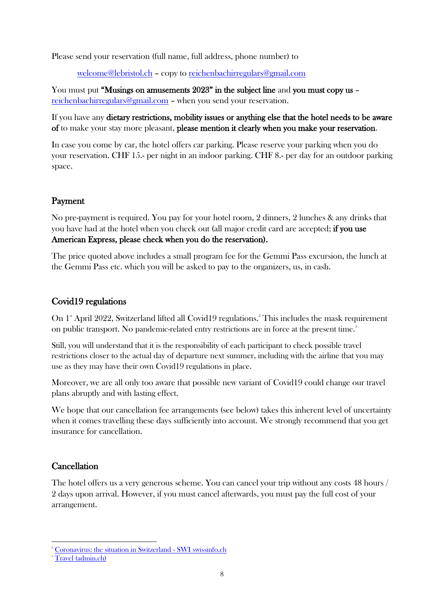Please send your reservation (full name, full address, phone number) to

[welcome@lebristol.ch](mailto:welcome@lebristol.ch) – copy to [reichenbachirregulars@gmail.com](mailto:reichenbachirregulars@gmail.com)

You must put "Musings on amusements 2023" in the subject line and you must copy us – [reichenbachirregulars@gmail.com](mailto:reichenbachirregulars@gmail.com) – when you send your reservation.

If you have any dietary restrictions, mobility issues or anything else that the hotel needs to be aware of to make your stay more pleasant, please mention it clearly when you make your reservation.

In case you come by car, the hotel offers car parking. Please reserve your parking when you do your reservation. CHF 15.- per night in an indoor parking. CHF 8.- per day for an outdoor parking space.

#### Payment

No pre-payment is required. You pay for your hotel room, 2 dinners, 2 lunches & any drinks that you have had at the hotel when you check out (all major credit card are accepted; if you use American Express, please check when you do the reservation).

The price quoted above includes a small program fee for the Gemmi Pass excursion, the lunch at the Gemmi Pass etc. which you will be asked to pay to the organizers, us, in cash.

## Covid19 regulations

On 1<sup>st</sup> April 2022, Switzerland lifted all Covid19 regulations.<sup>2</sup> This includes the mask requirement on public transport. No pandemic-related entry restrictions are in force at the present time.<sup>3</sup>

Still, you will understand that it is the responsibility of each participant to check possible travel restrictions closer to the actual day of departure next summer, including with the airline that you may use as they may have their own Covid19 regulations in place.

Moreover, we are all only too aware that possible new variant of Covid19 could change our travel plans abruptly and with lasting effect.

We hope that our cancellation fee arrangements (see below) takes this inherent level of uncertainty when it comes travelling these days sufficiently into account. We strongly recommend that you get insurance for cancellation.

#### **Cancellation**

The hotel offers us a very generous scheme. You can cancel your trip without any costs 48 hours / 2 days upon arrival. However, if you must cancel afterwards, you must pay the full cost of your arrangement.

<sup>&</sup>lt;sup>2</sup> [Coronavirus: the situation in Switzerland -](https://www.swissinfo.ch/eng/covid-19_coronavirus--the-situation-in-switzerland/45592192) SWI swissinfo.ch

<sup>&</sup>lt;sup>3</sup> [Travel \(admin.ch\)](https://www.bag.admin.ch/bag/en/home/krankheiten/ausbrueche-epidemien-pandemien/aktuelle-ausbrueche-epidemien/novel-cov/empfehlungen-fuer-reisende.html)